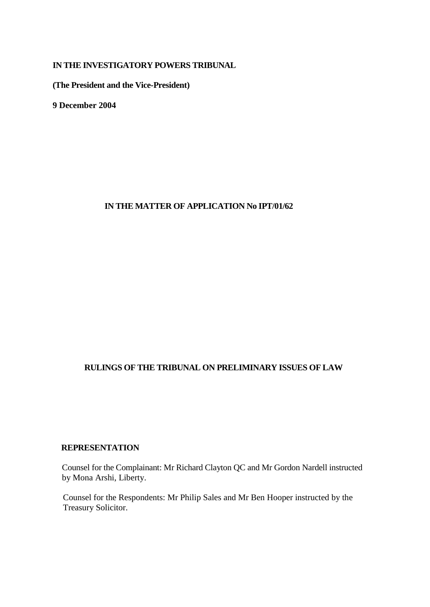## **IN THE INVESTIGATORY POWERS TRIBUNAL**

**(The President and the Vice-President)**

**9 December 2004**

## **IN THE MATTER OF APPLICATION No IPT/01/62**

# **RULINGS OF THE TRIBUNAL ON PRELIMINARY ISSUES OF LAW**

## **REPRESENTATION**

Counsel for the Complainant: Mr Richard Clayton QC and Mr Gordon Nardell instructed by Mona Arshi, Liberty.

Counsel for the Respondents: Mr Philip Sales and Mr Ben Hooper instructed by the Treasury Solicitor.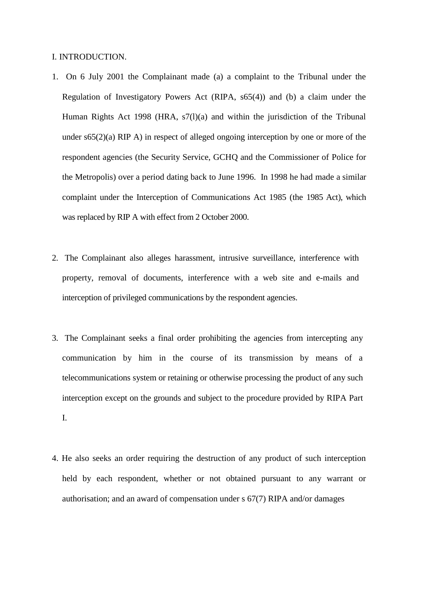### I. INTRODUCTION.

- 1. On 6 July 2001 the Complainant made (a) a complaint to the Tribunal under the Regulation of Investigatory Powers Act (RIPA, s65(4)) and (b) a claim under the Human Rights Act 1998 (HRA, s7(l)(a) and within the jurisdiction of the Tribunal under s65(2)(a) RIP A) in respect of alleged ongoing interception by one or more of the respondent agencies (the Security Service, GCHQ and the Commissioner of Police for the Metropolis) over a period dating back to June 1996. In 1998 he had made a similar complaint under the Interception of Communications Act 1985 (the 1985 Act), which was replaced by RIP A with effect from 2 October 2000.
- 2. The Complainant also alleges harassment, intrusive surveillance, interference with property, removal of documents, interference with a web site and e-mails and interception of privileged communications by the respondent agencies.
- 3. The Complainant seeks a final order prohibiting the agencies from intercepting any communication by him in the course of its transmission by means of a telecommunications system or retaining or otherwise processing the product of any such interception except on the grounds and subject to the procedure provided by RIPA Part I.
- 4. He also seeks an order requiring the destruction of any product of such interception held by each respondent, whether or not obtained pursuant to any warrant or authorisation; and an award of compensation under s 67(7) RIPA and/or damages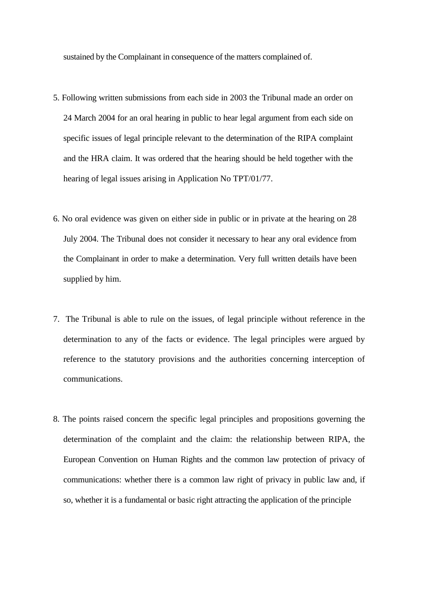sustained by the Complainant in consequence of the matters complained of.

- 5. Following written submissions from each side in 2003 the Tribunal made an order on 24 March 2004 for an oral hearing in public to hear legal argument from each side on specific issues of legal principle relevant to the determination of the RIPA complaint and the HRA claim. It was ordered that the hearing should be held together with the hearing of legal issues arising in Application No TPT/01/77.
- 6. No oral evidence was given on either side in public or in private at the hearing on 28 July 2004. The Tribunal does not consider it necessary to hear any oral evidence from the Complainant in order to make a determination. Very full written details have been supplied by him.
- 7. The Tribunal is able to rule on the issues, of legal principle without reference in the determination to any of the facts or evidence. The legal principles were argued by reference to the statutory provisions and the authorities concerning interception of communications.
- 8. The points raised concern the specific legal principles and propositions governing the determination of the complaint and the claim: the relationship between RIPA, the European Convention on Human Rights and the common law protection of privacy of communications: whether there is a common law right of privacy in public law and, if so, whether it is a fundamental or basic right attracting the application of the principle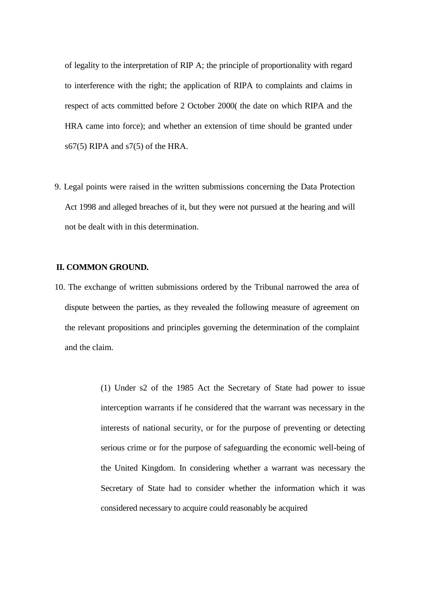of legality to the interpretation of RIP A; the principle of proportionality with regard to interference with the right; the application of RIPA to complaints and claims in respect of acts committed before 2 October 2000( the date on which RIPA and the HRA came into force); and whether an extension of time should be granted under s67(5) RIPA and s7(5) of the HRA.

9. Legal points were raised in the written submissions concerning the Data Protection Act 1998 and alleged breaches of it, but they were not pursued at the hearing and will not be dealt with in this determination.

### **II. COMMON GROUND.**

- 10. The exchange of written submissions ordered by the Tribunal narrowed the area of dispute between the parties, as they revealed the following measure of agreement on the relevant propositions and principles governing the determination of the complaint and the claim.
	- (1) Under s2 of the 1985 Act the Secretary of State had power to issue interception warrants if he considered that the warrant was necessary in the interests of national security, or for the purpose of preventing or detecting serious crime or for the purpose of safeguarding the economic well-being of the United Kingdom. In considering whether a warrant was necessary the Secretary of State had to consider whether the information which it was considered necessary to acquire could reasonably be acquired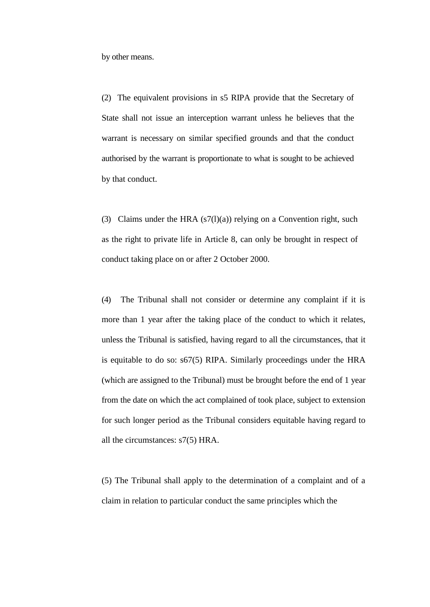by other means.

(2) The equivalent provisions in s5 RIPA provide that the Secretary of State shall not issue an interception warrant unless he believes that the warrant is necessary on similar specified grounds and that the conduct authorised by the warrant is proportionate to what is sought to be achieved by that conduct.

(3) Claims under the HRA  $(s7(1)(a))$  relying on a Convention right, such as the right to private life in Article 8, can only be brought in respect of conduct taking place on or after 2 October 2000.

(4) The Tribunal shall not consider or determine any complaint if it is more than 1 year after the taking place of the conduct to which it relates, unless the Tribunal is satisfied, having regard to all the circumstances, that it is equitable to do so: s67(5) RIPA. Similarly proceedings under the HRA (which are assigned to the Tribunal) must be brought before the end of 1 year from the date on which the act complained of took place, subject to extension for such longer period as the Tribunal considers equitable having regard to all the circumstances: s7(5) HRA.

(5) The Tribunal shall apply to the determination of a complaint and of a claim in relation to particular conduct the same principles which the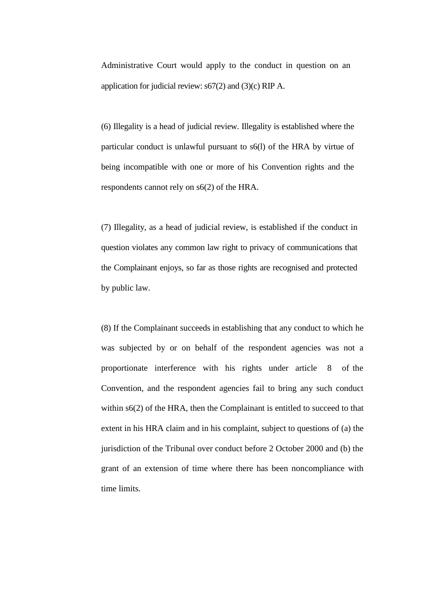Administrative Court would apply to the conduct in question on an application for judicial review: s67(2) and (3)(c) RIP A.

(6) Illegality is a head of judicial review. Illegality is established where the particular conduct is unlawful pursuant to s6(l) of the HRA by virtue of being incompatible with one or more of his Convention rights and the respondents cannot rely on s6(2) of the HRA.

(7) Illegality, as a head of judicial review, is established if the conduct in question violates any common law right to privacy of communications that the Complainant enjoys, so far as those rights are recognised and protected by public law.

(8) If the Complainant succeeds in establishing that any conduct to which he was subjected by or on behalf of the respondent agencies was not a proportionate interference with his rights under article 8 of the Convention, and the respondent agencies fail to bring any such conduct within  $s6(2)$  of the HRA, then the Complainant is entitled to succeed to that extent in his HRA claim and in his complaint, subject to questions of (a) the jurisdiction of the Tribunal over conduct before 2 October 2000 and (b) the grant of an extension of time where there has been noncompliance with time limits.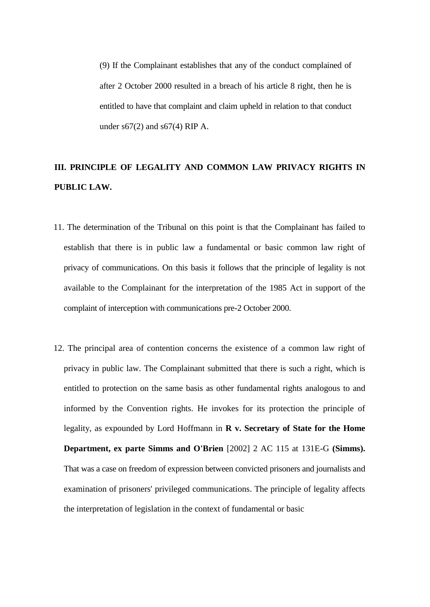(9) If the Complainant establishes that any of the conduct complained of after 2 October 2000 resulted in a breach of his article 8 right, then he is entitled to have that complaint and claim upheld in relation to that conduct under  $s67(2)$  and  $s67(4)$  RIP A.

# **III. PRINCIPLE OF LEGALITY AND COMMON LAW PRIVACY RIGHTS IN PUBLIC LAW.**

- 11. The determination of the Tribunal on this point is that the Complainant has failed to establish that there is in public law a fundamental or basic common law right of privacy of communications. On this basis it follows that the principle of legality is not available to the Complainant for the interpretation of the 1985 Act in support of the complaint of interception with communications pre-2 October 2000.
- 12. The principal area of contention concerns the existence of a common law right of privacy in public law. The Complainant submitted that there is such a right, which is entitled to protection on the same basis as other fundamental rights analogous to and informed by the Convention rights. He invokes for its protection the principle of legality, as expounded by Lord Hoffmann in **R v. Secretary of State for the Home Department, ex parte Simms and O'Brien** [2002] 2 AC 115 at 131E-G **(Simms).** That was a case on freedom of expression between convicted prisoners and journalists and examination of prisoners' privileged communications. The principle of legality affects the interpretation of legislation in the context of fundamental or basic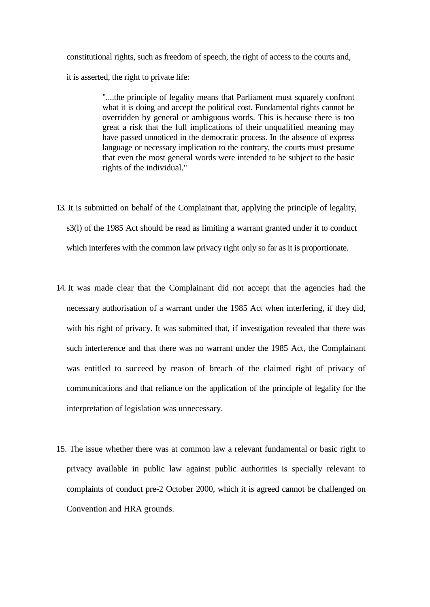constitutional rights, such as freedom of speech, the right of access to the courts and, it is asserted, the right to private life:

> "....the principle of legality means that Parliament must squarely confront what it is doing and accept the political cost. Fundamental rights cannot be overridden by general or ambiguous words. This is because there is too great a risk that the full implications of their unqualified meaning may have passed unnoticed in the democratic process. In the absence of express language or necessary implication to the contrary, the courts must presume that even the most general words were intended to be subject to the basic rights of the individual."

- 13. It is submitted on behalf of the Complainant that, applying the principle of legality, s3(l) of the 1985 Act should be read as limiting a warrant granted under it to conduct which interferes with the common law privacy right only so far as it is proportionate.
- 14. It was made clear that the Complainant did not accept that the agencies had the necessary authorisation of a warrant under the 1985 Act when interfering, if they did, with his right of privacy. It was submitted that, if investigation revealed that there was such interference and that there was no warrant under the 1985 Act, the Complainant was entitled to succeed by reason of breach of the claimed right of privacy of communications and that reliance on the application of the principle of legality for the interpretation of legislation was unnecessary.
- 15. The issue whether there was at common law a relevant fundamental or basic right to privacy available in public law against public authorities is specially relevant to complaints of conduct pre-2 October 2000, which it is agreed cannot be challenged on Convention and HRA grounds.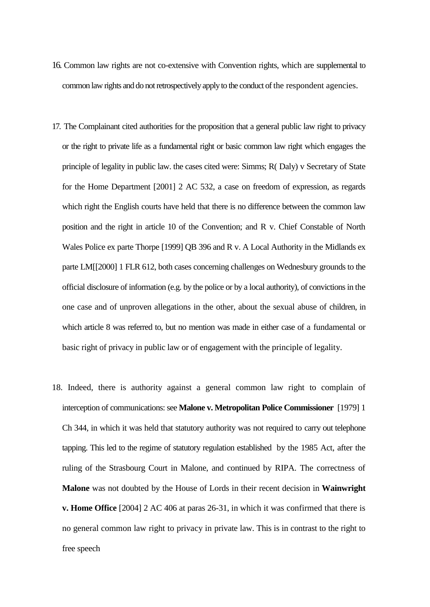- 16. Common law rights are not co-extensive with Convention rights, which are supplemental to common law rights and do not retrospectively apply to the conduct of the respondent agencies.
- 17. The Complainant cited authorities for the proposition that a general public law right to privacy or the right to private life as a fundamental right or basic common law right which engages the principle of legality in public law. the cases cited were: Simms; R( Daly) v Secretary of State for the Home Department [2001] 2 AC 532, a case on freedom of expression, as regards which right the English courts have held that there is no difference between the common law position and the right in article 10 of the Convention; and R v. Chief Constable of North Wales Police ex parte Thorpe [1999] QB 396 and R v. A Local Authority in the Midlands ex parte LM[[2000] 1 FLR 612, both cases concerning challenges on Wednesbury grounds to the official disclosure of information (e.g. by the police or by a local authority), of convictions in the one case and of unproven allegations in the other, about the sexual abuse of children, in which article 8 was referred to, but no mention was made in either case of a fundamental or basic right of privacy in public law or of engagement with the principle of legality.
- 18. Indeed, there is authority against a general common law right to complain of interception of communications: see **Malone v. Metropolitan Police Commissioner** [1979] 1 Ch 344, in which it was held that statutory authority was not required to carry out telephone tapping. This led to the regime of statutory regulation established by the 1985 Act, after the ruling of the Strasbourg Court in Malone, and continued by RIPA. The correctness of **Malone** was not doubted by the House of Lords in their recent decision in **Wainwright v. Home Office** [2004] 2 AC 406 at paras 26-31, in which it was confirmed that there is no general common law right to privacy in private law. This is in contrast to the right to free speech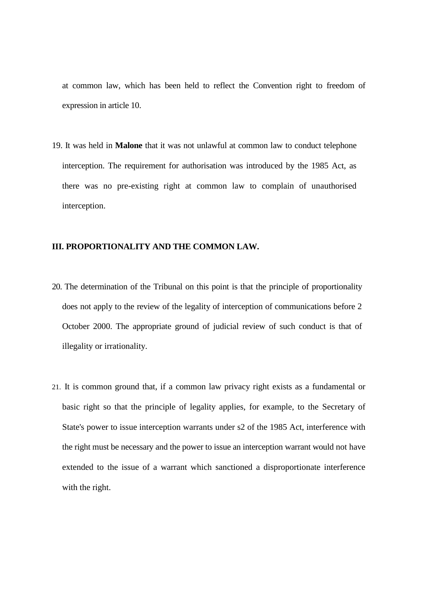at common law, which has been held to reflect the Convention right to freedom of expression in article 10.

19. It was held in **Malone** that it was not unlawful at common law to conduct telephone interception. The requirement for authorisation was introduced by the 1985 Act, as there was no pre-existing right at common law to complain of unauthorised interception.

### **III. PROPORTIONALITY AND THE COMMON LAW.**

- 20. The determination of the Tribunal on this point is that the principle of proportionality does not apply to the review of the legality of interception of communications before 2 October 2000. The appropriate ground of judicial review of such conduct is that of illegality or irrationality.
- 21. It is common ground that, if a common law privacy right exists as a fundamental or basic right so that the principle of legality applies, for example, to the Secretary of State's power to issue interception warrants under s2 of the 1985 Act, interference with the right must be necessary and the power to issue an interception warrant would not have extended to the issue of a warrant which sanctioned a disproportionate interference with the right.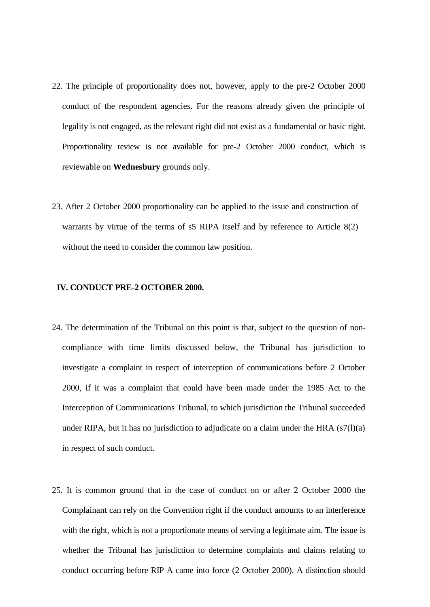- 22. The principle of proportionality does not, however, apply to the pre-2 October 2000 conduct of the respondent agencies. For the reasons already given the principle of legality is not engaged, as the relevant right did not exist as a fundamental or basic right. Proportionality review is not available for pre-2 October 2000 conduct, which is reviewable on **Wednesbury** grounds only.
- 23. After 2 October 2000 proportionality can be applied to the issue and construction of warrants by virtue of the terms of s5 RIPA itself and by reference to Article 8(2) without the need to consider the common law position.

#### **IV. CONDUCT PRE-2 OCTOBER 2000.**

- 24. The determination of the Tribunal on this point is that, subject to the question of noncompliance with time limits discussed below, the Tribunal has jurisdiction to investigate a complaint in respect of interception of communications before 2 October 2000, if it was a complaint that could have been made under the 1985 Act to the Interception of Communications Tribunal, to which jurisdiction the Tribunal succeeded under RIPA, but it has no jurisdiction to adjudicate on a claim under the HRA  $(s7(1)(a)$ in respect of such conduct.
- 25. It is common ground that in the case of conduct on or after 2 October 2000 the Complainant can rely on the Convention right if the conduct amounts to an interference with the right, which is not a proportionate means of serving a legitimate aim. The issue is whether the Tribunal has jurisdiction to determine complaints and claims relating to conduct occurring before RIP A came into force (2 October 2000). A distinction should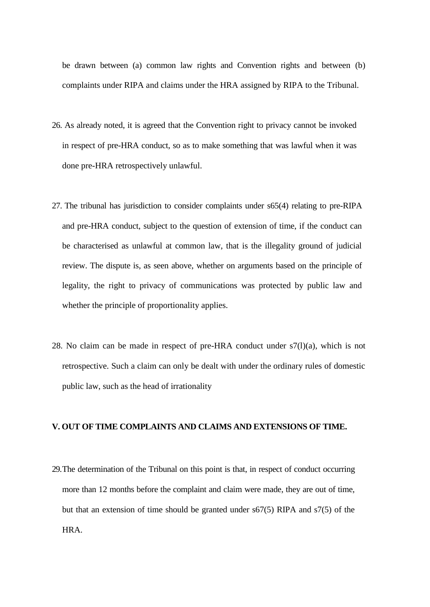be drawn between (a) common law rights and Convention rights and between (b) complaints under RIPA and claims under the HRA assigned by RIPA to the Tribunal.

- 26. As already noted, it is agreed that the Convention right to privacy cannot be invoked in respect of pre-HRA conduct, so as to make something that was lawful when it was done pre-HRA retrospectively unlawful.
- 27. The tribunal has jurisdiction to consider complaints under s65(4) relating to pre-RIPA and pre-HRA conduct, subject to the question of extension of time, if the conduct can be characterised as unlawful at common law, that is the illegality ground of judicial review. The dispute is, as seen above, whether on arguments based on the principle of legality, the right to privacy of communications was protected by public law and whether the principle of proportionality applies.
- 28. No claim can be made in respect of pre-HRA conduct under  $s7(1)(a)$ , which is not retrospective. Such a claim can only be dealt with under the ordinary rules of domestic public law, such as the head of irrationality

### **V. OUT OF TIME COMPLAINTS AND CLAIMS AND EXTENSIONS OF TIME.**

29.The determination of the Tribunal on this point is that, in respect of conduct occurring more than 12 months before the complaint and claim were made, they are out of time, but that an extension of time should be granted under s67(5) RIPA and s7(5) of the HRA.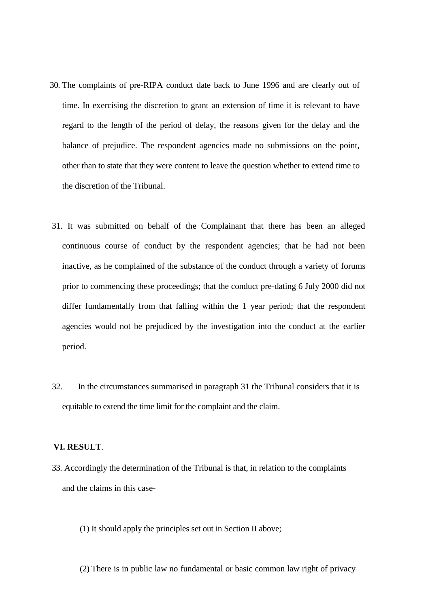- 30. The complaints of pre-RIPA conduct date back to June 1996 and are clearly out of time. In exercising the discretion to grant an extension of time it is relevant to have regard to the length of the period of delay, the reasons given for the delay and the balance of prejudice. The respondent agencies made no submissions on the point, other than to state that they were content to leave the question whether to extend time to the discretion of the Tribunal.
- 31. It was submitted on behalf of the Complainant that there has been an alleged continuous course of conduct by the respondent agencies; that he had not been inactive, as he complained of the substance of the conduct through a variety of forums prior to commencing these proceedings; that the conduct pre-dating 6 July 2000 did not differ fundamentally from that falling within the 1 year period; that the respondent agencies would not be prejudiced by the investigation into the conduct at the earlier period.
- 32. In the circumstances summarised in paragraph 31 the Tribunal considers that it is equitable to extend the time limit for the complaint and the claim.

### **VI. RESULT**.

- 33. Accordingly the determination of the Tribunal is that, in relation to the complaints and the claims in this case-
	- (1) It should apply the principles set out in Section II above;
	- (2) There is in public law no fundamental or basic common law right of privacy